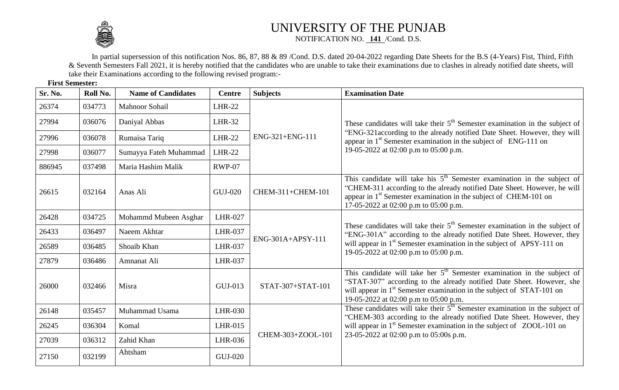

## UNIVERSITY OF THE PUNJAB NOTIFICATION NO. **141** /Cond. D.S.

In partial supersession of this notification Nos. 86, 87, 88 & 89 /Cond. D.S. dated 20-04-2022 regarding Date Sheets for the B.S (4-Years) Fist, Third, Fifth & Seventh Semesters Fall 2021, it is hereby notified that the candidates who are unable to take their examinations due to clashes in already notified date sheets, will take their Examinations according to the following revised program:-

**First Semester:**

| Sr. No. | Roll No. | <b>Name of Candidates</b> | <b>Centre</b>  | <b>Subjects</b>   | <b>Examination Date</b>                                                                                                                                                                                                                                                                      |
|---------|----------|---------------------------|----------------|-------------------|----------------------------------------------------------------------------------------------------------------------------------------------------------------------------------------------------------------------------------------------------------------------------------------------|
| 26374   | 034773   | <b>Mahnoor Sohail</b>     | <b>LHR-22</b>  | ENG-321+ENG-111   | These candidates will take their 5 <sup>th</sup> Semester examination in the subject of<br>"ENG-321 according to the already notified Date Sheet. However, they will<br>appear in 1 <sup>st</sup> Semester examination in the subject of ENG-111 on<br>19-05-2022 at 02:00 p.m to 05:00 p.m. |
| 27994   | 036076   | Daniyal Abbas             | <b>LHR-32</b>  |                   |                                                                                                                                                                                                                                                                                              |
| 27996   | 036078   | Rumaisa Tariq             | <b>LHR-22</b>  |                   |                                                                                                                                                                                                                                                                                              |
| 27998   | 036077   | Sumayya Fateh Muhammad    | <b>LHR-22</b>  |                   |                                                                                                                                                                                                                                                                                              |
| 886945  | 037498   | Maria Hashim Malik        | <b>RWP-07</b>  |                   |                                                                                                                                                                                                                                                                                              |
| 26615   | 032164   | Anas Ali                  | <b>GUJ-020</b> | CHEM-311+CHEM-101 | This candidate will take his $5th$ Semester examination in the subject of<br>"CHEM-311 according to the already notified Date Sheet. However, he will<br>appear in 1 <sup>st</sup> Semester examination in the subject of CHEM-101 on<br>17-05-2022 at 02:00 p.m to 05:00 p.m.               |
| 26428   | 034725   | Mohammd Mubeen Asghar     | LHR-027        | ENG-301A+APSY-111 | These candidates will take their $5th$ Semester examination in the subject of<br>"ENG-301A" according to the already notified Date Sheet. However, they<br>will appear in 1 <sup>st</sup> Semester examination in the subject of APSY-111 on<br>19-05-2022 at 02:00 p.m to 05:00 p.m.        |
| 26433   | 036497   | Naeem Akhtar              | <b>LHR-037</b> |                   |                                                                                                                                                                                                                                                                                              |
| 26589   | 036485   | Shoaib Khan               | <b>LHR-037</b> |                   |                                                                                                                                                                                                                                                                                              |
| 27879   | 036486   | Amnanat Ali               | <b>LHR-037</b> |                   |                                                                                                                                                                                                                                                                                              |
| 26000   | 032466   | Misra                     | GUJ-013        | STAT-307+STAT-101 | This candidate will take her $5th$ Semester examination in the subject of<br>"STAT-307" according to the already notified Date Sheet. However, she<br>will appear in 1 <sup>st</sup> Semester examination in the subject of STAT-101 on<br>19-05-2022 at 02:00 p.m to 05:00 p.m.             |
| 26148   | 035457   | Muhammad Usama            | LHR-030        | CHEM-303+ZOOL-101 | These candidates will take their $5th$ Semester examination in the subject of<br>"CHEM-303 according to the already notified Date Sheet. However, they<br>will appear in 1 <sup>st</sup> Semester examination in the subject of ZOOL-101 on<br>23-05-2022 at 02:00 p.m to 05:00s p.m.        |
| 26245   | 036304   | Komal                     | LHR-015        |                   |                                                                                                                                                                                                                                                                                              |
| 27039   | 036312   | Zahid Khan                | <b>LHR-036</b> |                   |                                                                                                                                                                                                                                                                                              |
| 27150   | 032199   | Ahtsham                   | <b>GUJ-020</b> |                   |                                                                                                                                                                                                                                                                                              |